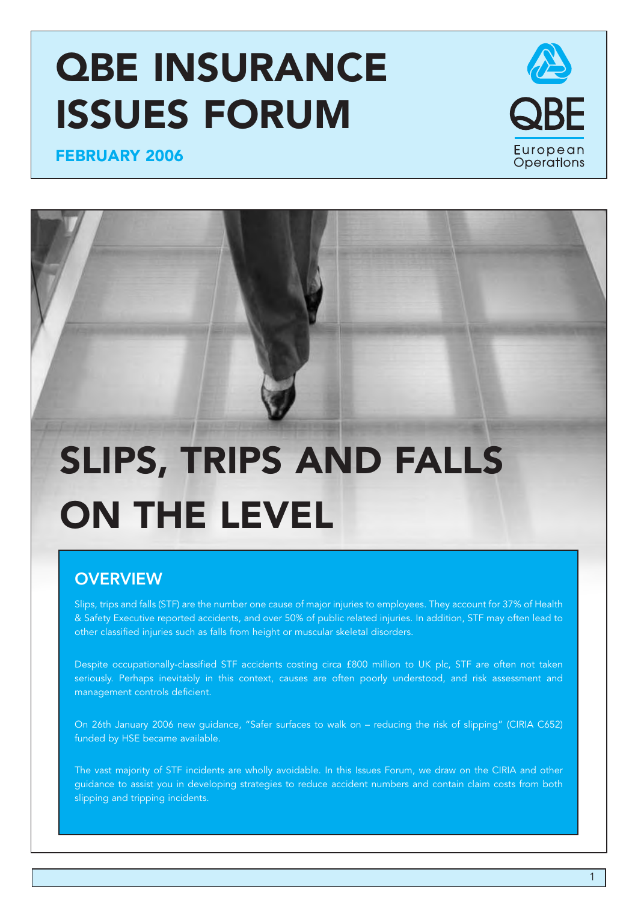# **QBE INSURANCE ISSUES FORUM**



**FEBRUARY 2006**

# **SLIPS, TRIPS AND FALLS ON THE LEVEL**

# **OVERVIEW**

Slips, trips and falls (STF) are the number one cause of major injuries to employees. They account for 37% of Health & Safety Executive reported accidents, and over 50% of public related injuries. In addition, STF may often lead to other classified injuries such as falls from height or muscular skeletal disorders.

Despite occupationally-classified STF accidents costing circa £800 million to UK plc, STF are often not taken seriously. Perhaps inevitably in this context, causes are often poorly understood, and risk assessment and management controls deficient.

On 26th January 2006 new guidance, "Safer surfaces to walk on – reducing the risk of slipping" (CIRIA C652) funded by HSE became available.

The vast majority of STF incidents are wholly avoidable. In this Issues Forum, we draw on the CIRIA and other guidance to assist you in developing strategies to reduce accident numbers and contain claim costs from both slipping and tripping incidents.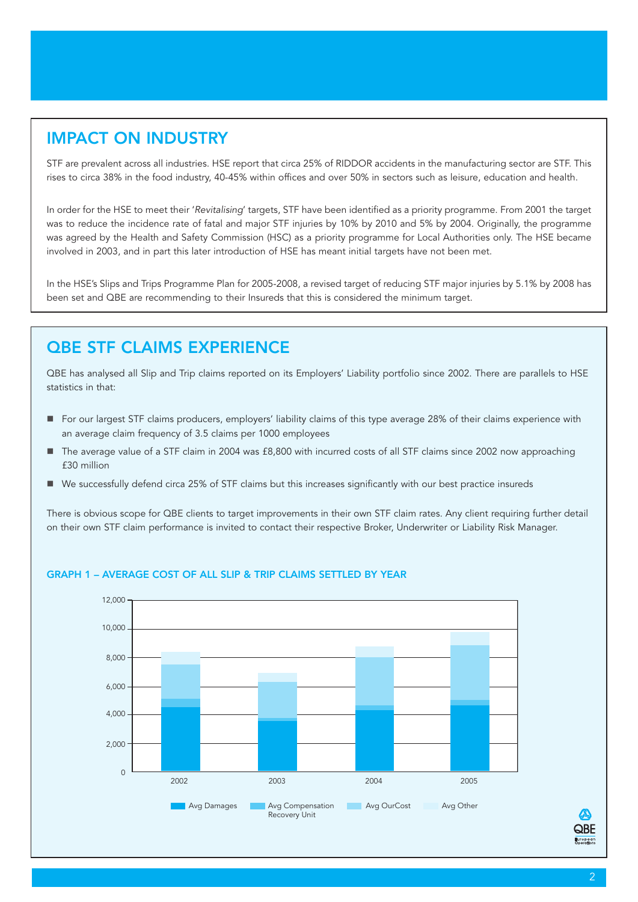### **IMPACT ON INDUSTRY**

STF are prevalent across all industries. HSE report that circa 25% of RIDDOR accidents in the manufacturing sector are STF. This rises to circa 38% in the food industry, 40-45% within offices and over 50% in sectors such as leisure, education and health.

In order for the HSE to meet their '*Revitalising*' targets, STF have been identified as a priority programme. From 2001 the target was to reduce the incidence rate of fatal and major STF injuries by 10% by 2010 and 5% by 2004. Originally, the programme was agreed by the Health and Safety Commission (HSC) as a priority programme for Local Authorities only. The HSE became involved in 2003, and in part this later introduction of HSE has meant initial targets have not been met.

In the HSE's Slips and Trips Programme Plan for 2005-2008, a revised target of reducing STF major injuries by 5.1% by 2008 has been set and QBE are recommending to their Insureds that this is considered the minimum target.

### **QBE STF CLAIMS EXPERIENCE**

QBE has analysed all Slip and Trip claims reported on its Employers' Liability portfolio since 2002. There are parallels to HSE statistics in that:

- For our largest STF claims producers, employers' liability claims of this type average 28% of their claims experience with an average claim frequency of 3.5 claims per 1000 employees
- The average value of a STF claim in 2004 was £8,800 with incurred costs of all STF claims since 2002 now approaching £30 million
- We successfully defend circa 25% of STF claims but this increases significantly with our best practice insureds

There is obvious scope for QBE clients to target improvements in their own STF claim rates. Any client requiring further detail on their own STF claim performance is invited to contact their respective Broker, Underwriter or Liability Risk Manager.



### **GRAPH 1 – AVERAGE COST OF ALL SLIP & TRIP CLAIMS SETTLED BY YEAR**

**QBE**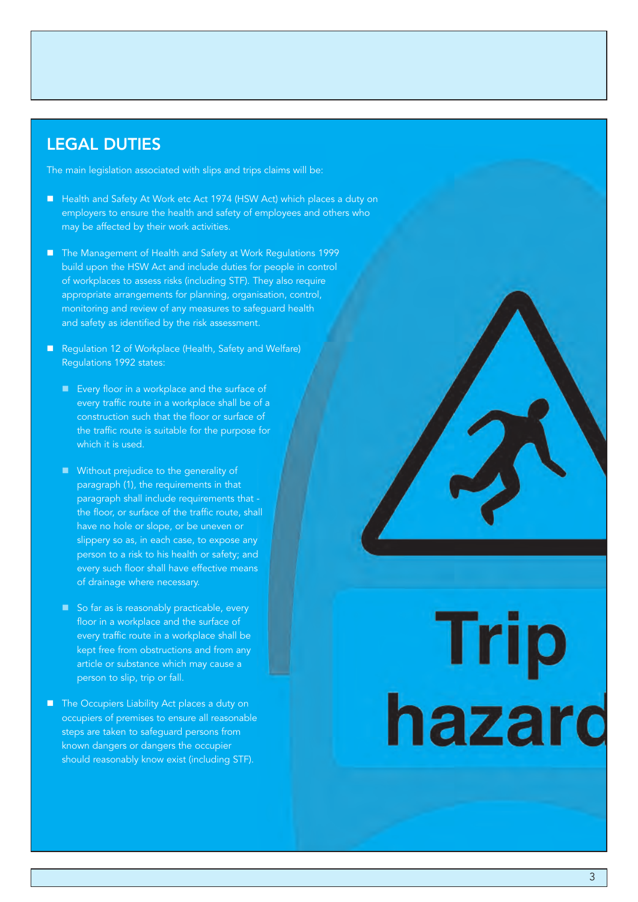### **LEGAL DUTIES**

The main legislation associated with slips and trips claims will be:

- Health and Safety At Work etc Act 1974 (HSW Act) which places a duty on employers to ensure the health and safety of employees and others who may be affected by their work activities.
- The Management of Health and Safety at Work Regulations 1999 build upon the HSW Act and include duties for people in control of workplaces to assess risks (including STF). They also require appropriate arrangements for planning, organisation, control, monitoring and review of any measures to safeguard health and safety as identified by the risk assessment.
- Regulation 12 of Workplace (Health, Safety and Welfare) Regulations 1992 states:
	- Every floor in a workplace and the surface of every traffic route in a workplace shall be of a construction such that the floor or surface of the traffic route is suitable for the purpose for which it is used.
	- **Without prejudice to the generality of** paragraph (1), the requirements in that paragraph shall include requirements that the floor, or surface of the traffic route, shall have no hole or slope, or be uneven or slippery so as, in each case, to expose any person to a risk to his health or safety; and every such floor shall have effective means of drainage where necessary.
	- So far as is reasonably practicable, every floor in a workplace and the surface of every traffic route in a workplace shall be kept free from obstructions and from any article or substance which may cause a person to slip, trip or fall.
- The Occupiers Liability Act places a duty on occupiers of premises to ensure all reasonable steps are taken to safeguard persons from known dangers or dangers the occupier should reasonably know exist (including STF).

# Trip<br>hazard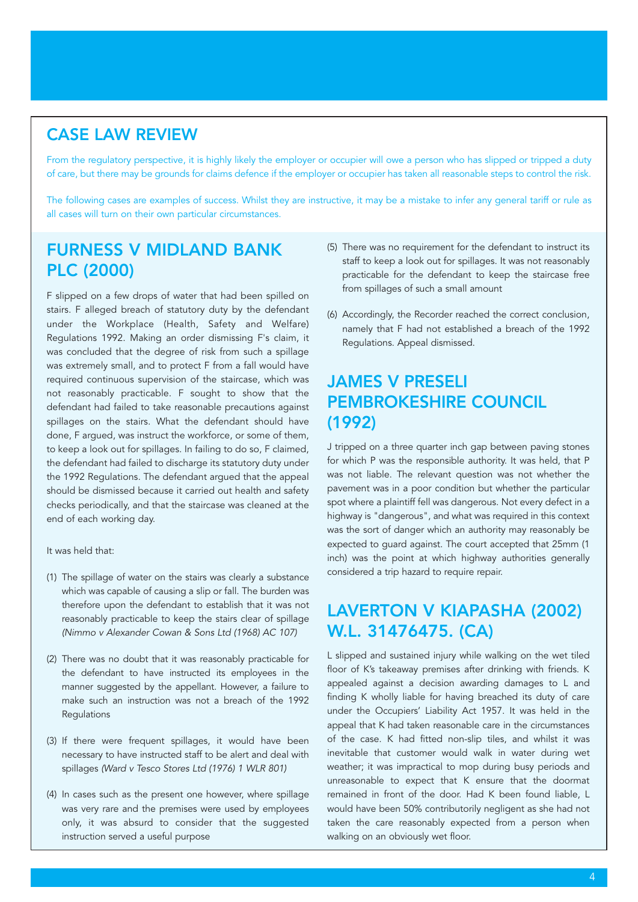### **CASE LAW REVIEW**

From the regulatory perspective, it is highly likely the employer or occupier will owe a person who has slipped or tripped a duty of care, but there may be grounds for claims defence if the employer or occupier has taken all reasonable steps to control the risk.

The following cases are examples of success. Whilst they are instructive, it may be a mistake to infer any general tariff or rule as all cases will turn on their own particular circumstances.

### **FURNESS V MIDLAND BANK PLC (2000)**

F slipped on a few drops of water that had been spilled on stairs. F alleged breach of statutory duty by the defendant under the Workplace (Health, Safety and Welfare) Regulations 1992. Making an order dismissing F's claim, it was concluded that the degree of risk from such a spillage was extremely small, and to protect F from a fall would have required continuous supervision of the staircase, which was not reasonably practicable. F sought to show that the defendant had failed to take reasonable precautions against spillages on the stairs. What the defendant should have done, F argued, was instruct the workforce, or some of them, to keep a look out for spillages. In failing to do so, F claimed, the defendant had failed to discharge its statutory duty under the 1992 Regulations. The defendant argued that the appeal should be dismissed because it carried out health and safety checks periodically, and that the staircase was cleaned at the end of each working day.

It was held that:

- (1) The spillage of water on the stairs was clearly a substance which was capable of causing a slip or fall. The burden was therefore upon the defendant to establish that it was not reasonably practicable to keep the stairs clear of spillage *(Nimmo v Alexander Cowan & Sons Ltd (1968) AC 107)*
- (2) There was no doubt that it was reasonably practicable for the defendant to have instructed its employees in the manner suggested by the appellant. However, a failure to make such an instruction was not a breach of the 1992 **Regulations**
- (3) If there were frequent spillages, it would have been necessary to have instructed staff to be alert and deal with spillages *(Ward v Tesco Stores Ltd (1976) 1 WLR 801)*
- (4) In cases such as the present one however, where spillage was very rare and the premises were used by employees only, it was absurd to consider that the suggested instruction served a useful purpose
- (5) There was no requirement for the defendant to instruct its staff to keep a look out for spillages. It was not reasonably practicable for the defendant to keep the staircase free from spillages of such a small amount
- (6) Accordingly, the Recorder reached the correct conclusion, namely that F had not established a breach of the 1992 Regulations. Appeal dismissed.

### **JAMES V PRESELI PEMBROKESHIRE COUNCIL (1992)**

J tripped on a three quarter inch gap between paving stones for which P was the responsible authority. It was held, that P was not liable. The relevant question was not whether the pavement was in a poor condition but whether the particular spot where a plaintiff fell was dangerous. Not every defect in a highway is "dangerous", and what was required in this context was the sort of danger which an authority may reasonably be expected to guard against. The court accepted that 25mm (1 inch) was the point at which highway authorities generally considered a trip hazard to require repair.

### **LAVERTON V KIAPASHA (2002) W.L. 31476475. (CA)**

L slipped and sustained injury while walking on the wet tiled floor of K's takeaway premises after drinking with friends. K appealed against a decision awarding damages to L and finding K wholly liable for having breached its duty of care under the Occupiers' Liability Act 1957. It was held in the appeal that K had taken reasonable care in the circumstances of the case. K had fitted non-slip tiles, and whilst it was inevitable that customer would walk in water during wet weather; it was impractical to mop during busy periods and unreasonable to expect that K ensure that the doormat remained in front of the door. Had K been found liable, L would have been 50% contributorily negligent as she had not taken the care reasonably expected from a person when walking on an obviously wet floor.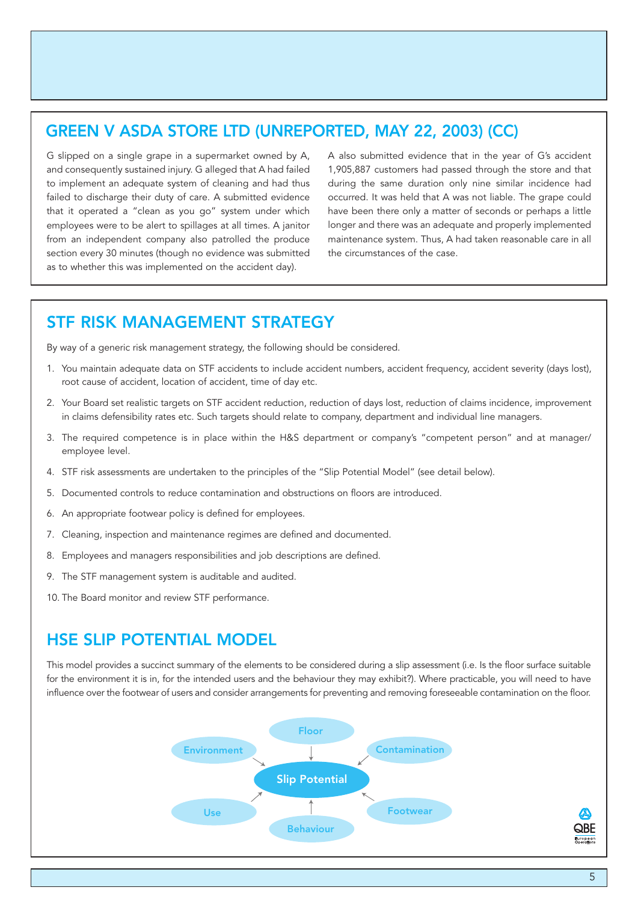### **GREEN V ASDA STORE LTD (UNREPORTED, MAY 22, 2003) (CC)**

G slipped on a single grape in a supermarket owned by A, and consequently sustained injury. G alleged that A had failed to implement an adequate system of cleaning and had thus failed to discharge their duty of care. A submitted evidence that it operated a "clean as you go" system under which employees were to be alert to spillages at all times. A janitor from an independent company also patrolled the produce section every 30 minutes (though no evidence was submitted as to whether this was implemented on the accident day).

A also submitted evidence that in the year of G's accident 1,905,887 customers had passed through the store and that during the same duration only nine similar incidence had occurred. It was held that A was not liable. The grape could have been there only a matter of seconds or perhaps a little longer and there was an adequate and properly implemented maintenance system. Thus, A had taken reasonable care in all the circumstances of the case.

### **STF RISK MANAGEMENT STRATEGY**

By way of a generic risk management strategy, the following should be considered.

- 1. You maintain adequate data on STF accidents to include accident numbers, accident frequency, accident severity (days lost), root cause of accident, location of accident, time of day etc.
- 2. Your Board set realistic targets on STF accident reduction, reduction of days lost, reduction of claims incidence, improvement in claims defensibility rates etc. Such targets should relate to company, department and individual line managers.
- 3. The required competence is in place within the H&S department or company's "competent person" and at manager/ employee level.
- 4. STF risk assessments are undertaken to the principles of the "Slip Potential Model" (see detail below).
- 5. Documented controls to reduce contamination and obstructions on floors are introduced.
- 6. An appropriate footwear policy is defined for employees.
- 7. Cleaning, inspection and maintenance regimes are defined and documented.
- 8. Employees and managers responsibilities and job descriptions are defined.
- 9. The STF management system is auditable and audited.
- 10. The Board monitor and review STF performance.

### **HSE SLIP POTENTIAL MODEL**

This model provides a succinct summary of the elements to be considered during a slip assessment (i.e. Is the floor surface suitable for the environment it is in, for the intended users and the behaviour they may exhibit?). Where practicable, you will need to have influence over the footwear of users and consider arrangements for preventing and removing foreseeable contamination on the floor.



**QBE** European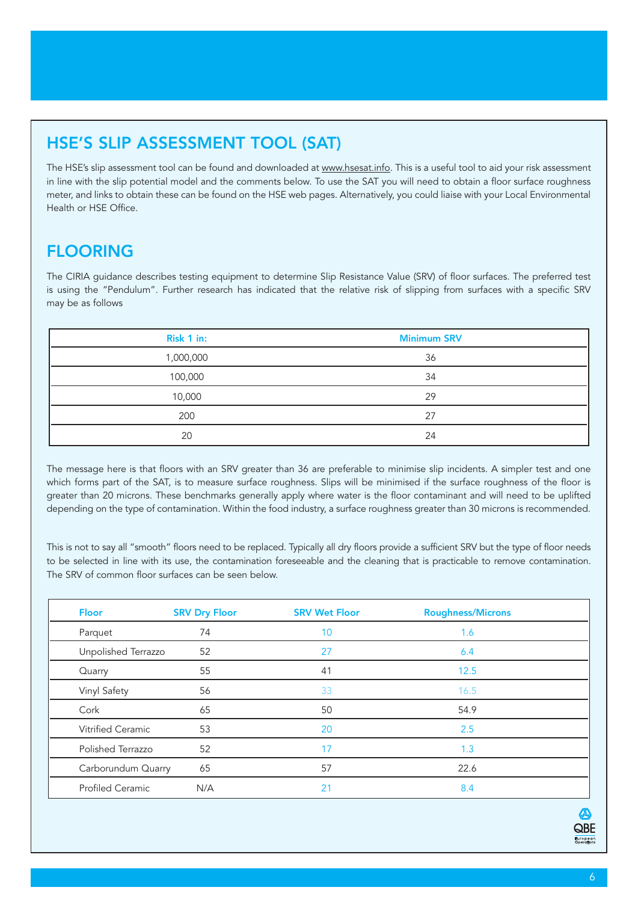## **HSE'S SLIP ASSESSMENT TOOL (SAT)**

The HSE's slip assessment tool can be found and downloaded at www.hsesat.info. This is a useful tool to aid your risk assessment in line with the slip potential model and the comments below. To use the SAT you will need to obtain a floor surface roughness meter, and links to obtain these can be found on the HSE web pages. Alternatively, you could liaise with your Local Environmental Health or HSE Office.

### **FLOORING**

The CIRIA guidance describes testing equipment to determine Slip Resistance Value (SRV) of floor surfaces. The preferred test is using the "Pendulum". Further research has indicated that the relative risk of slipping from surfaces with a specific SRV may be as follows

| Risk 1 in: | <b>Minimum SRV</b> |
|------------|--------------------|
| 1,000,000  | 36                 |
| 100,000    | 34                 |
| 10,000     | 29                 |
| 200        | 27                 |
| 20         | 24                 |

The message here is that floors with an SRV greater than 36 are preferable to minimise slip incidents. A simpler test and one which forms part of the SAT, is to measure surface roughness. Slips will be minimised if the surface roughness of the floor is greater than 20 microns. These benchmarks generally apply where water is the floor contaminant and will need to be uplifted depending on the type of contamination. Within the food industry, a surface roughness greater than 30 microns is recommended.

This is not to say all "smooth" floors need to be replaced. Typically all dry floors provide a sufficient SRV but the type of floor needs to be selected in line with its use, the contamination foreseeable and the cleaning that is practicable to remove contamination. The SRV of common floor surfaces can be seen below.

| <b>Floor</b>            | <b>SRV Dry Floor</b> | <b>SRV Wet Floor</b> | <b>Roughness/Microns</b> |  |
|-------------------------|----------------------|----------------------|--------------------------|--|
| Parquet                 | 74                   | 10                   | 1.6                      |  |
| Unpolished Terrazzo     | 52                   | 27                   | 6.4                      |  |
| Quarry                  | 55                   | 41                   | 12.5                     |  |
| Vinyl Safety            | 56                   | 33                   | 16.5                     |  |
| Cork                    | 65                   | 50                   | 54.9                     |  |
| Vitrified Ceramic       | 53                   | 20                   | 2.5                      |  |
| Polished Terrazzo       | 52                   | 17                   | 1.3                      |  |
| Carborundum Quarry      | 65                   | 57                   | 22.6                     |  |
| <b>Profiled Ceramic</b> | N/A                  | 21                   | 8.4                      |  |

QBE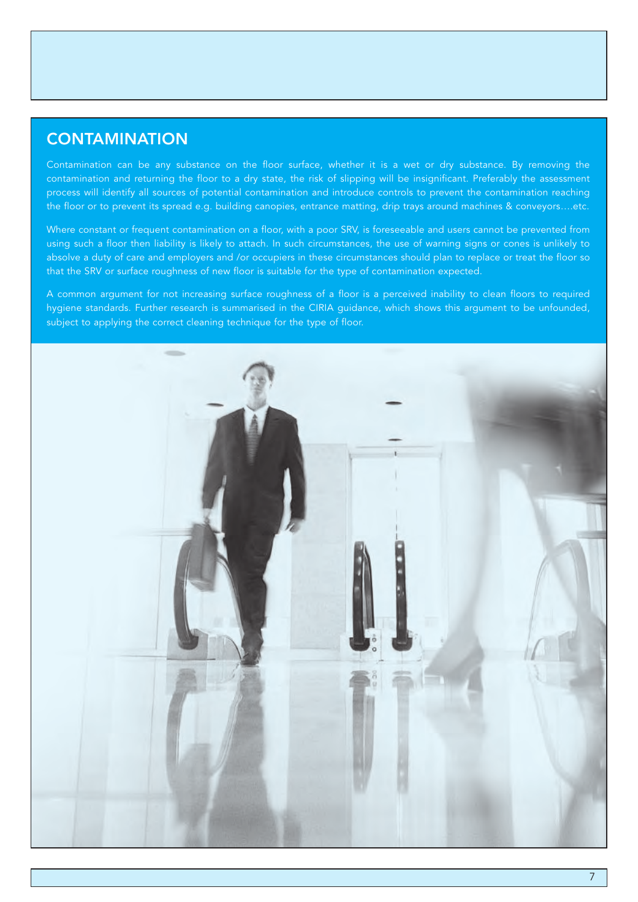### **CONTAMINATION**

Contamination can be any substance on the floor surface, whether it is a wet or dry substance. By removing the contamination and returning the floor to a dry state, the risk of slipping will be insignificant. Preferably the assessment process will identify all sources of potential contamination and introduce controls to prevent the contamination reaching the floor or to prevent its spread e.g. building canopies, entrance matting, drip trays around machines & conveyors….etc.

Where constant or frequent contamination on a floor, with a poor SRV, is foreseeable and users cannot be prevented from using such a floor then liability is likely to attach. In such circumstances, the use of warning signs or cones is unlikely to absolve a duty of care and employers and /or occupiers in these circumstances should plan to replace or treat the floor so that the SRV or surface roughness of new floor is suitable for the type of contamination expected.

A common argument for not increasing surface roughness of a floor is a perceived inability to clean floors to required hygiene standards. Further research is summarised in the CIRIA guidance, which shows this argument to be unfounded, subject to applying the correct cleaning technique for the type of floor.

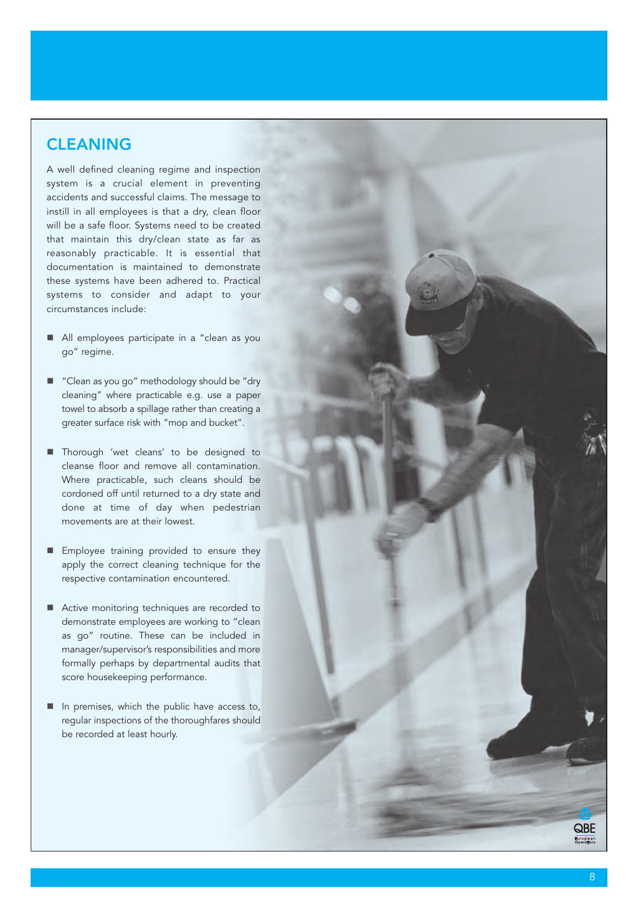### **CLEANING**

A well defined cleaning regime and inspection system is a crucial element in preventing accidents and successful claims. The message to instill in all employees is that a dry, clean floor will be a safe floor. Systems need to be created that maintain this dry/clean state as far as reasonably practicable. It is essential that documentation is maintained to demonstrate these systems have been adhered to. Practical systems to consider and adapt to your circumstances include:

- All employees participate in a "clean as you go" regime.
- "Clean as you go" methodology should be "dry cleaning" where practicable e.g. use a paper towel to absorb a spillage rather than creating a greater surface risk with "mop and bucket".
- **Thorough 'wet cleans' to be designed to** cleanse floor and remove all contamination. Where practicable, such cleans should be cordoned off until returned to a dry state and done at time of day when pedestrian movements ar e at their lowest.
- **Employee training provided to ensure they** apply the correct cleaning technique for the respective contamination encountered.
- Active monitoring techniques are recorded to demonstrate employees are working to "clean as go" routine. These can be included in manager/supervisor's responsibilities and more formally perhaps by departmental audits that score housekeeping performance.
- In premises, which the public have access to, regular inspections of the thoroughfares should be recorded at least hourly.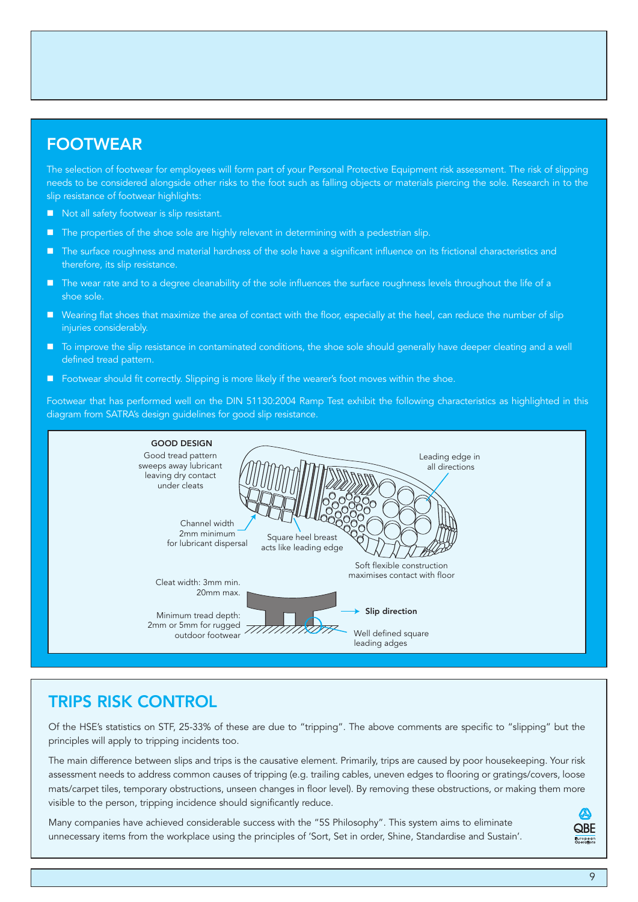### **FOOTWEAR**

The selection of footwear for employees will form part of your Personal Protective Equipment risk assessment. The risk of slipping needs to be considered alongside other risks to the foot such as falling objects or materials piercing the sole. Research in to the slip resistance of footwear highlights:

- Not all safety footwear is slip resistant.
- The properties of the shoe sole are highly relevant in determining with a pedestrian slip.
- The surface roughness and material hardness of the sole have a significant influence on its frictional characteristics and therefore, its slip resistance.
- The wear rate and to a degree cleanability of the sole influences the surface roughness levels throughout the life of a shoe sole.
- Wearing flat shoes that maximize the area of contact with the floor, especially at the heel, can reduce the number of slip injuries considerably.
- To improve the slip resistance in contaminated conditions, the shoe sole should generally have deeper cleating and a well defined tread pattern.
- **F** Footwear should fit correctly. Slipping is more likely if the wearer's foot moves within the shoe.

Footwear that has performed well on the DIN 51130:2004 Ramp Test exhibit the following characteristics as highlighted in this diagram from SATRA's design guidelines for good slip resistance.



### **TRIPS RISK CONTROL**

Of the HSE's statistics on STF, 25-33% of these are due to "tripping". The above comments are specific to "slipping" but the principles will apply to tripping incidents too.

The main difference between slips and trips is the causative element. Primarily, trips are caused by poor housekeeping. Your risk assessment needs to address common causes of tripping (e.g. trailing cables, uneven edges to flooring or gratings/covers, loose mats/carpet tiles, temporary obstructions, unseen changes in floor level). By removing these obstructions, or making them more visible to the person, tripping incidence should significantly reduce.

Many companies have achieved considerable success with the "5S Philosophy". This system aims to eliminate unnecessary items from the workplace using the principles of 'Sort, Set in order, Shine, Standardise and Sustain'.

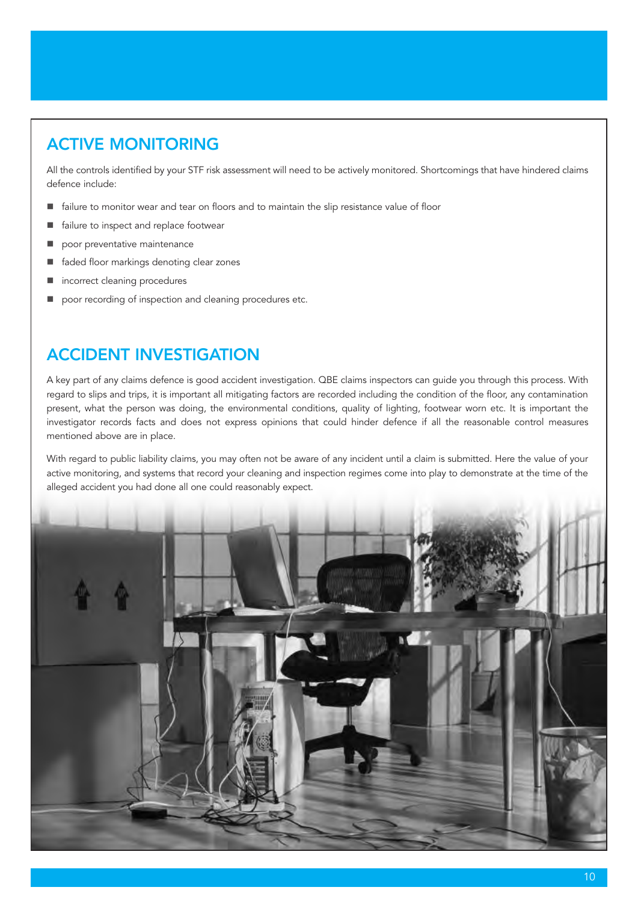# **ACTIVE MONITORING**

All the controls identified by your STF risk assessment will need to be actively monitored. Shortcomings that have hindered claims defence include:

- failure to monitor wear and tear on floors and to maintain the slip resistance value of floor
- **failure to inspect and replace footwear**
- poor preventative maintenance
- faded floor markings denoting clear zones
- incorrect cleaning procedures
- poor recording of inspection and cleaning procedures etc.

### **ACCIDENT INVESTIGATION**

A key part of any claims defence is good accident investigation. QBE claims inspectors can guide you through this process. With regard to slips and trips, it is important all mitigating factors are recorded including the condition of the floor, any contamination present, what the person was doing, the environmental conditions, quality of lighting, footwear worn etc. It is important the investigator records facts and does not express opinions that could hinder defence if all the reasonable control measures mentioned above are in place.

With regard to public liability claims, you may often not be aware of any incident until a claim is submitted. Here the value of your active monitoring, and systems that record your cleaning and inspection regimes come into play to demonstrate at the time of the alleged accident you had done all one could reasonably expect.